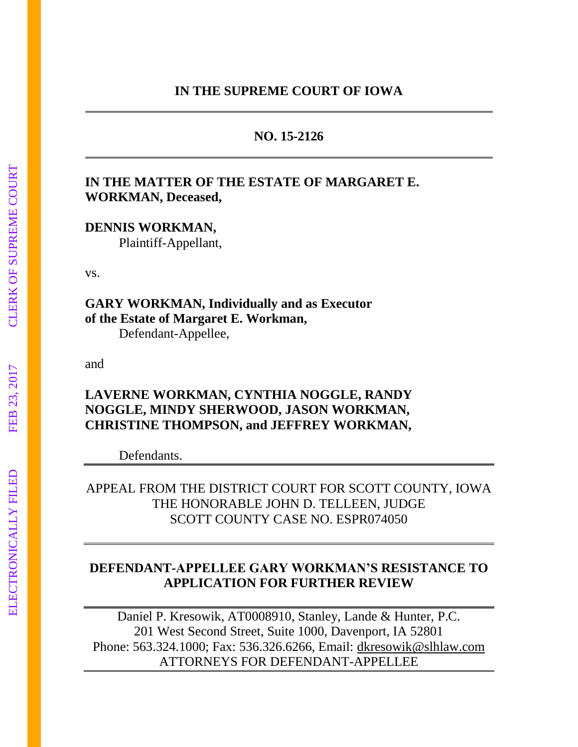# **NO. 15-2126**

# **IN THE MATTER OF THE ESTATE OF MARGARET E. WORKMAN, Deceased,**

**DENNIS WORKMAN,** 

Plaintiff-Appellant,

vs.

**GARY WORKMAN, Individually and as Executor of the Estate of Margaret E. Workman,**

Defendant-Appellee,

and

# **LAVERNE WORKMAN, CYNTHIA NOGGLE, RANDY NOGGLE, MINDY SHERWOOD, JASON WORKMAN, CHRISTINE THOMPSON, and JEFFREY WORKMAN,**

Defendants.

APPEAL FROM THE DISTRICT COURT FOR SCOTT COUNTY, IOWA THE HONORABLE JOHN D. TELLEEN, JUDGE SCOTT COUNTY CASE NO. ESPR074050

# **DEFENDANT-APPELLEE GARY WORKMAN'S RESISTANCE TO APPLICATION FOR FURTHER REVIEW**

Daniel P. Kresowik, AT0008910, Stanley, Lande & Hunter, P.C. 201 West Second Street, Suite 1000, Davenport, IA 52801 Phone: 563.324.1000; Fax: 536.326.6266, Email: [dkresowik@slhlaw.com](mailto:dkresowik@slhlaw.com) ATTORNEYS FOR DEFENDANT-APPELLEE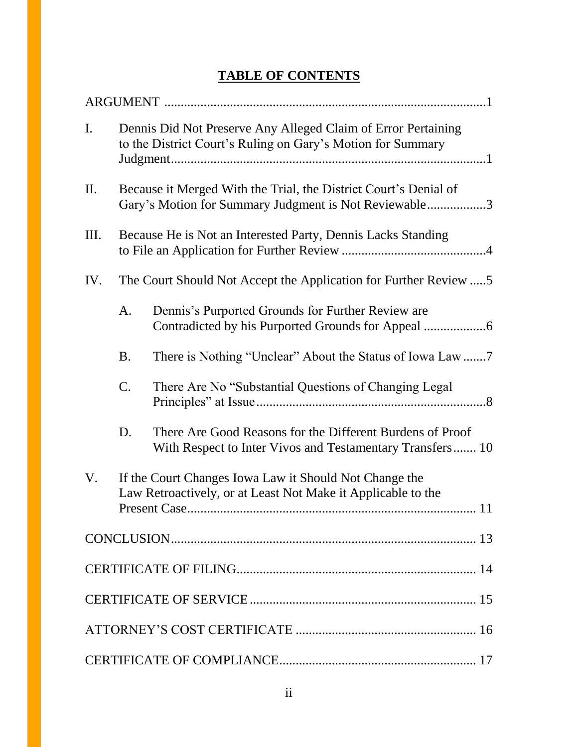# **TABLE OF CONTENTS**

| $\mathbf{I}$ . | Dennis Did Not Preserve Any Alleged Claim of Error Pertaining<br>to the District Court's Ruling on Gary's Motion for Summary |                                                                                                                        |
|----------------|------------------------------------------------------------------------------------------------------------------------------|------------------------------------------------------------------------------------------------------------------------|
| II.            | Because it Merged With the Trial, the District Court's Denial of<br>Gary's Motion for Summary Judgment is Not Reviewable3    |                                                                                                                        |
| III.           | Because He is Not an Interested Party, Dennis Lacks Standing                                                                 |                                                                                                                        |
| IV.            | The Court Should Not Accept the Application for Further Review                                                               |                                                                                                                        |
|                | A.                                                                                                                           | Dennis's Purported Grounds for Further Review are                                                                      |
|                | <b>B.</b>                                                                                                                    |                                                                                                                        |
|                | C.                                                                                                                           | There Are No "Substantial Questions of Changing Legal                                                                  |
|                | D.                                                                                                                           | There Are Good Reasons for the Different Burdens of Proof<br>With Respect to Inter Vivos and Testamentary Transfers 10 |
| V.             |                                                                                                                              | If the Court Changes Iowa Law it Should Not Change the<br>Law Retroactively, or at Least Not Make it Applicable to the |
|                |                                                                                                                              |                                                                                                                        |
|                |                                                                                                                              |                                                                                                                        |
|                |                                                                                                                              |                                                                                                                        |
|                |                                                                                                                              |                                                                                                                        |
|                |                                                                                                                              |                                                                                                                        |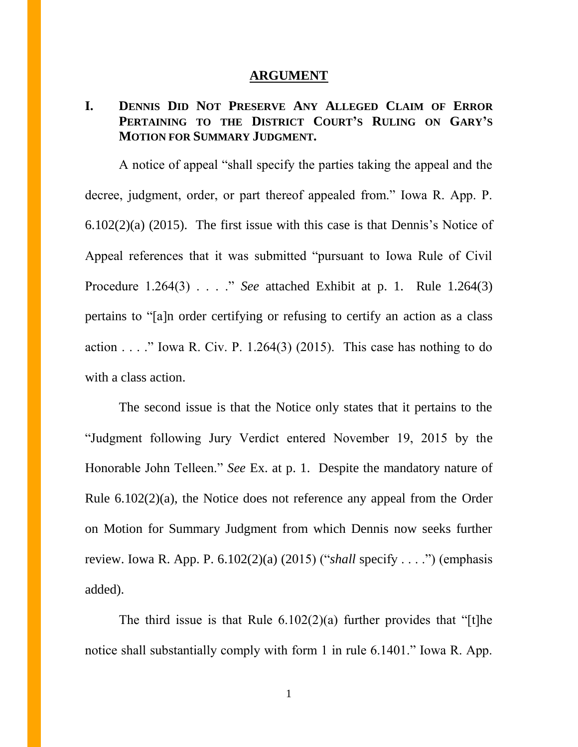## **ARGUMENT**

# **I. DENNIS DID NOT PRESERVE ANY ALLEGED CLAIM OF ERROR PERTAINING TO THE DISTRICT COURT'S RULING ON GARY'S MOTION FOR SUMMARY JUDGMENT.**

A notice of appeal "shall specify the parties taking the appeal and the decree, judgment, order, or part thereof appealed from." Iowa R. App. P. 6.102(2)(a) (2015). The first issue with this case is that Dennis's Notice of Appeal references that it was submitted "pursuant to Iowa Rule of Civil Procedure 1.264(3) . . . ." *See* attached Exhibit at p. 1. Rule 1.264(3) pertains to "[a]n order certifying or refusing to certify an action as a class action  $\ldots$  ." Iowa R. Civ. P. 1.264(3) (2015). This case has nothing to do with a class action.

The second issue is that the Notice only states that it pertains to the "Judgment following Jury Verdict entered November 19, 2015 by the Honorable John Telleen." *See* Ex. at p. 1. Despite the mandatory nature of Rule 6.102(2)(a), the Notice does not reference any appeal from the Order on Motion for Summary Judgment from which Dennis now seeks further review. Iowa R. App. P. 6.102(2)(a) (2015) ("*shall* specify . . . .") (emphasis added).

The third issue is that Rule  $6.102(2)(a)$  further provides that "[t]he notice shall substantially comply with form 1 in rule 6.1401." Iowa R. App.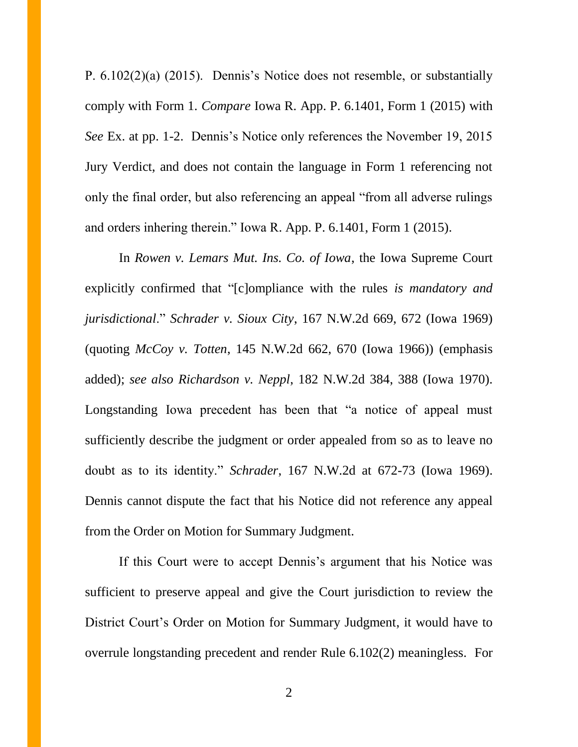P. 6.102(2)(a) (2015). Dennis's Notice does not resemble, or substantially comply with Form 1. *Compare* Iowa R. App. P. 6.1401, Form 1 (2015) with *See* Ex. at pp. 1-2. Dennis's Notice only references the November 19, 2015 Jury Verdict, and does not contain the language in Form 1 referencing not only the final order, but also referencing an appeal "from all adverse rulings and orders inhering therein." Iowa R. App. P. 6.1401, Form 1 (2015).

In *Rowen v. Lemars Mut. Ins. Co. of Iowa*, the Iowa Supreme Court explicitly confirmed that "[c]ompliance with the rules *is mandatory and jurisdictional*." *Schrader v. Sioux City*, 167 N.W.2d 669, 672 (Iowa 1969) (quoting *McCoy v. Totten*, 145 N.W.2d 662, 670 (Iowa 1966)) (emphasis added); *see also Richardson v. Neppl*, 182 N.W.2d 384, 388 (Iowa 1970). Longstanding Iowa precedent has been that "a notice of appeal must sufficiently describe the judgment or order appealed from so as to leave no doubt as to its identity." *Schrader*, 167 N.W.2d at 672-73 (Iowa 1969). Dennis cannot dispute the fact that his Notice did not reference any appeal from the Order on Motion for Summary Judgment.

If this Court were to accept Dennis's argument that his Notice was sufficient to preserve appeal and give the Court jurisdiction to review the District Court's Order on Motion for Summary Judgment, it would have to overrule longstanding precedent and render Rule 6.102(2) meaningless. For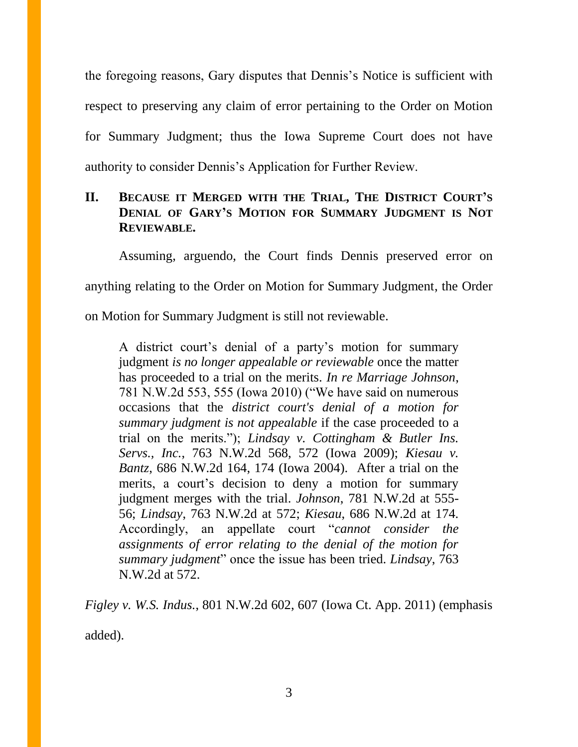the foregoing reasons, Gary disputes that Dennis's Notice is sufficient with respect to preserving any claim of error pertaining to the Order on Motion for Summary Judgment; thus the Iowa Supreme Court does not have authority to consider Dennis's Application for Further Review.

# **II. BECAUSE IT MERGED WITH THE TRIAL, THE DISTRICT COURT'S DENIAL OF GARY'S MOTION FOR SUMMARY JUDGMENT IS NOT REVIEWABLE.**

Assuming, arguendo, the Court finds Dennis preserved error on anything relating to the Order on Motion for Summary Judgment, the Order

on Motion for Summary Judgment is still not reviewable.

A district court's denial of a party's motion for summary judgment *is no longer appealable or reviewable* once the matter has proceeded to a trial on the merits. *In re Marriage Johnson*, 781 N.W.2d 553, 555 (Iowa 2010) ("We have said on numerous occasions that the *district court's denial of a motion for summary judgment is not appealable* if the case proceeded to a trial on the merits."); *Lindsay v. Cottingham & Butler Ins. Servs., Inc.*, 763 N.W.2d 568, 572 (Iowa 2009); *Kiesau v. Bantz*, 686 N.W.2d 164, 174 (Iowa 2004). After a trial on the merits, a court's decision to deny a motion for summary judgment merges with the trial. *Johnson*, 781 N.W.2d at 555- 56; *Lindsay*, 763 N.W.2d at 572; *Kiesau*, 686 N.W.2d at 174. Accordingly, an appellate court "*cannot consider the assignments of error relating to the denial of the motion for summary judgment*" once the issue has been tried. *Lindsay*, 763 N.W.2d at 572.

*Figley v. W.S. Indus.*, 801 N.W.2d 602, 607 (Iowa Ct. App. 2011) (emphasis added).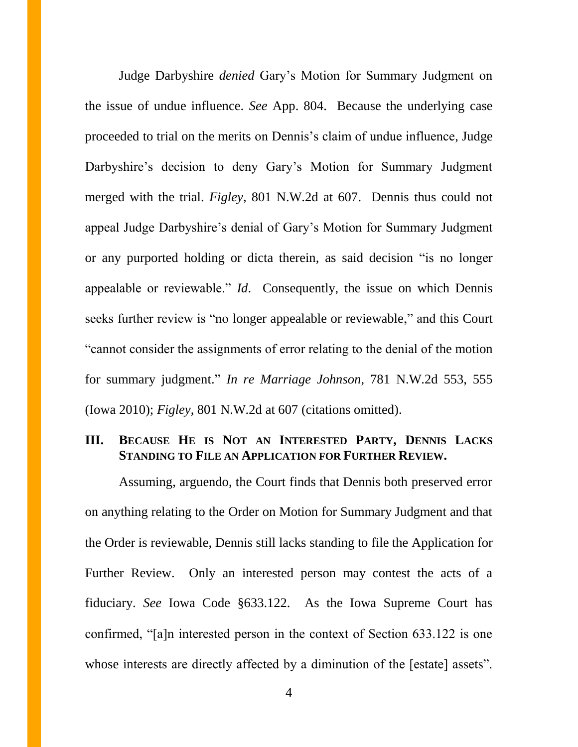Judge Darbyshire *denied* Gary's Motion for Summary Judgment on the issue of undue influence. *See* App. 804. Because the underlying case proceeded to trial on the merits on Dennis's claim of undue influence, Judge Darbyshire's decision to deny Gary's Motion for Summary Judgment merged with the trial. *Figley*, 801 N.W.2d at 607. Dennis thus could not appeal Judge Darbyshire's denial of Gary's Motion for Summary Judgment or any purported holding or dicta therein, as said decision "is no longer appealable or reviewable." *Id*. Consequently, the issue on which Dennis seeks further review is "no longer appealable or reviewable," and this Court "cannot consider the assignments of error relating to the denial of the motion for summary judgment." *In re Marriage Johnson*, 781 N.W.2d 553, 555 (Iowa 2010); *Figley*, 801 N.W.2d at 607 (citations omitted).

# **III. BECAUSE HE IS NOT AN INTERESTED PARTY, DENNIS LACKS STANDING TO FILE AN APPLICATION FOR FURTHER REVIEW.**

Assuming, arguendo, the Court finds that Dennis both preserved error on anything relating to the Order on Motion for Summary Judgment and that the Order is reviewable, Dennis still lacks standing to file the Application for Further Review. Only an interested person may contest the acts of a fiduciary. *See* Iowa Code §633.122. As the Iowa Supreme Court has confirmed, "[a]n interested person in the context of Section 633.122 is one whose interests are directly affected by a diminution of the [estate] assets".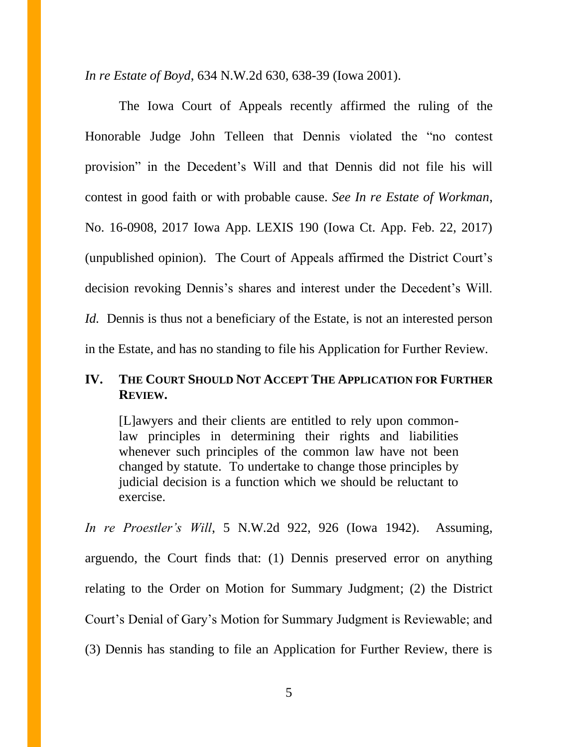*In re Estate of Boyd*, 634 N.W.2d 630, 638-39 (Iowa 2001).

The Iowa Court of Appeals recently affirmed the ruling of the Honorable Judge John Telleen that Dennis violated the "no contest provision" in the Decedent's Will and that Dennis did not file his will contest in good faith or with probable cause. *See In re Estate of Workman*, No. 16-0908, 2017 Iowa App. LEXIS 190 (Iowa Ct. App. Feb. 22, 2017) (unpublished opinion). The Court of Appeals affirmed the District Court's decision revoking Dennis's shares and interest under the Decedent's Will. *Id.* Dennis is thus not a beneficiary of the Estate, is not an interested person in the Estate, and has no standing to file his Application for Further Review.

# **IV. THE COURT SHOULD NOT ACCEPT THE APPLICATION FOR FURTHER REVIEW.**

[L]awyers and their clients are entitled to rely upon commonlaw principles in determining their rights and liabilities whenever such principles of the common law have not been changed by statute. To undertake to change those principles by judicial decision is a function which we should be reluctant to exercise.

*In re Proestler's Will*, 5 N.W.2d 922, 926 (Iowa 1942). Assuming, arguendo, the Court finds that: (1) Dennis preserved error on anything relating to the Order on Motion for Summary Judgment; (2) the District Court's Denial of Gary's Motion for Summary Judgment is Reviewable; and (3) Dennis has standing to file an Application for Further Review, there is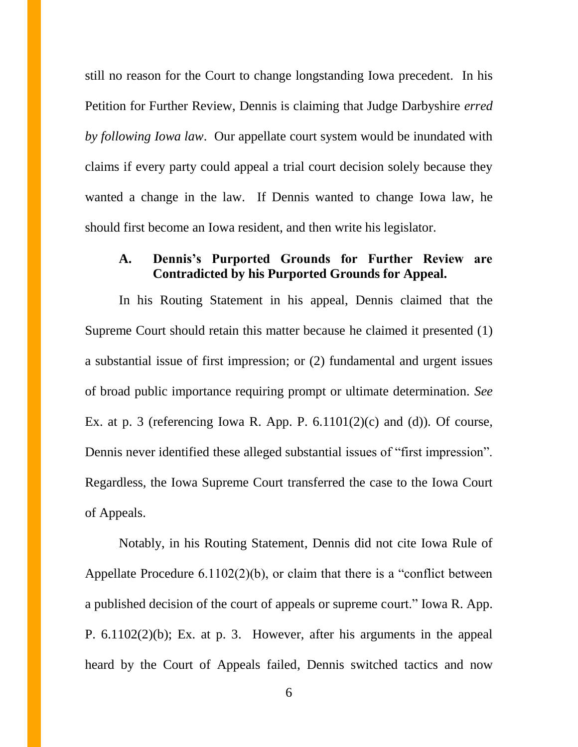still no reason for the Court to change longstanding Iowa precedent. In his Petition for Further Review, Dennis is claiming that Judge Darbyshire *erred by following Iowa law*. Our appellate court system would be inundated with claims if every party could appeal a trial court decision solely because they wanted a change in the law. If Dennis wanted to change Iowa law, he should first become an Iowa resident, and then write his legislator.

### **A. Dennis's Purported Grounds for Further Review are Contradicted by his Purported Grounds for Appeal.**

In his Routing Statement in his appeal, Dennis claimed that the Supreme Court should retain this matter because he claimed it presented (1) a substantial issue of first impression; or (2) fundamental and urgent issues of broad public importance requiring prompt or ultimate determination. *See* Ex. at p. 3 (referencing Iowa R. App. P.  $6.1101(2)(c)$  and (d)). Of course, Dennis never identified these alleged substantial issues of "first impression". Regardless, the Iowa Supreme Court transferred the case to the Iowa Court of Appeals.

Notably, in his Routing Statement, Dennis did not cite Iowa Rule of Appellate Procedure 6.1102(2)(b), or claim that there is a "conflict between a published decision of the court of appeals or supreme court." Iowa R. App. P. 6.1102(2)(b); Ex. at p. 3. However, after his arguments in the appeal heard by the Court of Appeals failed, Dennis switched tactics and now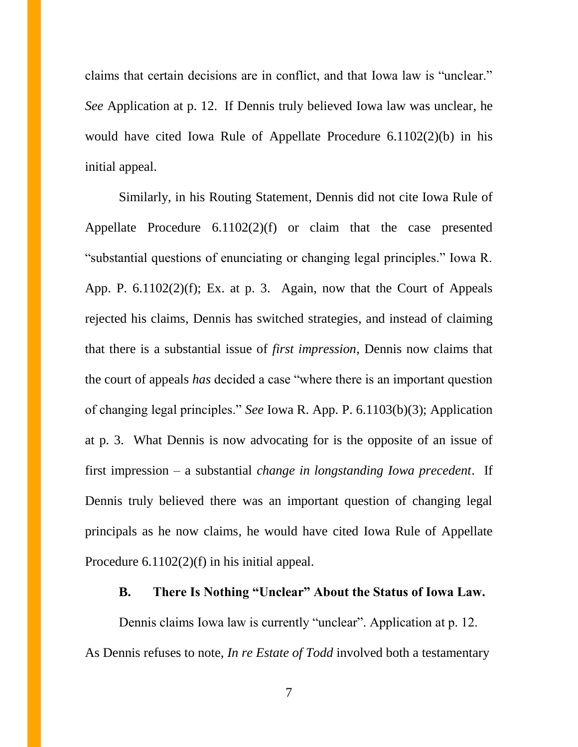claims that certain decisions are in conflict, and that Iowa law is "unclear." *See* Application at p. 12. If Dennis truly believed Iowa law was unclear, he would have cited Iowa Rule of Appellate Procedure 6.1102(2)(b) in his initial appeal.

Similarly, in his Routing Statement, Dennis did not cite Iowa Rule of Appellate Procedure 6.1102(2)(f) or claim that the case presented "substantial questions of enunciating or changing legal principles." Iowa R. App. P. 6.1102(2)(f); Ex. at p. 3. Again, now that the Court of Appeals rejected his claims, Dennis has switched strategies, and instead of claiming that there is a substantial issue of *first impression*, Dennis now claims that the court of appeals *has* decided a case "where there is an important question of changing legal principles." *See* Iowa R. App. P. 6.1103(b)(3); Application at p. 3. What Dennis is now advocating for is the opposite of an issue of first impression – a substantial *change in longstanding Iowa precedent*. If Dennis truly believed there was an important question of changing legal principals as he now claims, he would have cited Iowa Rule of Appellate Procedure 6.1102(2)(f) in his initial appeal.

# **B. There Is Nothing "Unclear" About the Status of Iowa Law.**

Dennis claims Iowa law is currently "unclear". Application at p. 12. As Dennis refuses to note, *In re Estate of Todd* involved both a testamentary

7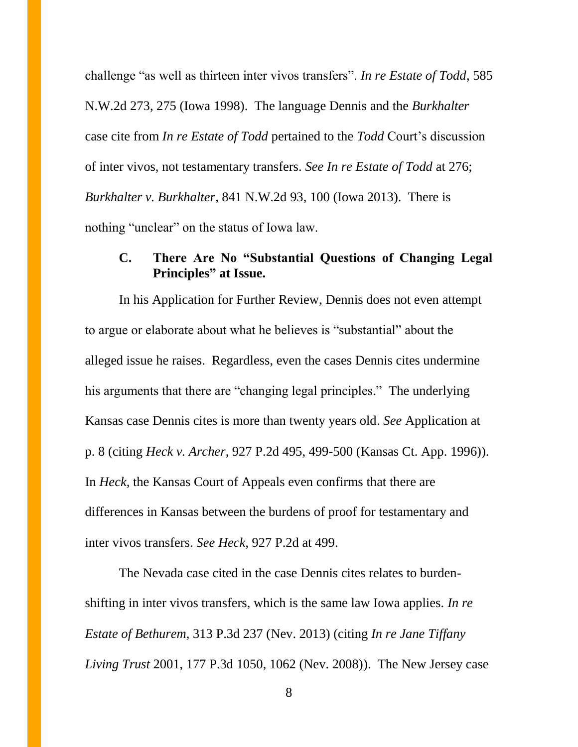challenge "as well as thirteen inter vivos transfers". *In re Estate of Todd*, 585 N.W.2d 273, 275 (Iowa 1998). The language Dennis and the *Burkhalter*  case cite from *In re Estate of Todd* pertained to the *Todd* Court's discussion of inter vivos, not testamentary transfers. *See In re Estate of Todd* at 276; *Burkhalter v. Burkhalter*, 841 N.W.2d 93, 100 (Iowa 2013). There is nothing "unclear" on the status of Iowa law.

# **C. There Are No "Substantial Questions of Changing Legal Principles" at Issue.**

In his Application for Further Review, Dennis does not even attempt to argue or elaborate about what he believes is "substantial" about the alleged issue he raises. Regardless, even the cases Dennis cites undermine his arguments that there are "changing legal principles." The underlying Kansas case Dennis cites is more than twenty years old. *See* Application at p. 8 (citing *Heck v. Archer*, 927 P.2d 495, 499-500 (Kansas Ct. App. 1996)). In *Heck,* the Kansas Court of Appeals even confirms that there are differences in Kansas between the burdens of proof for testamentary and inter vivos transfers. *See Heck*, 927 P.2d at 499.

The Nevada case cited in the case Dennis cites relates to burdenshifting in inter vivos transfers, which is the same law Iowa applies. *In re Estate of Bethurem*, 313 P.3d 237 (Nev. 2013) (citing *In re Jane Tiffany Living Trust* 2001, 177 P.3d 1050, 1062 (Nev. 2008)). The New Jersey case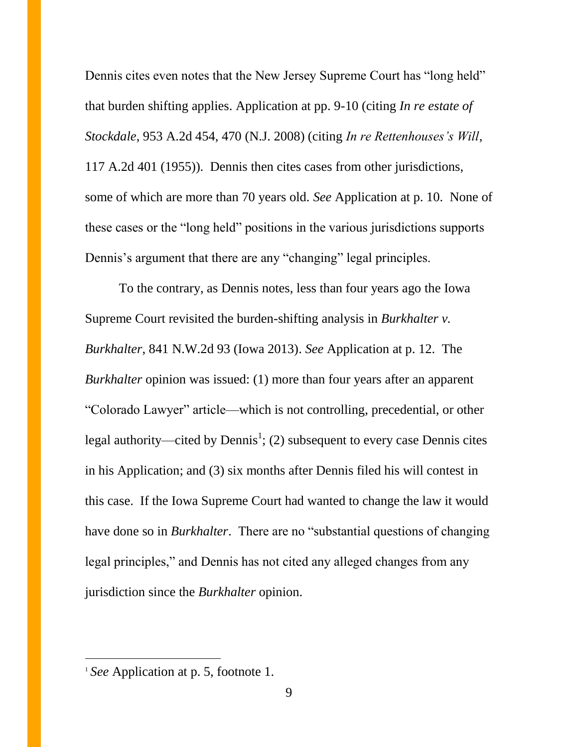Dennis cites even notes that the New Jersey Supreme Court has "long held" that burden shifting applies. Application at pp. 9-10 (citing *In re estate of Stockdale*, 953 A.2d 454, 470 (N.J. 2008) (citing *In re Rettenhouses's Will*, 117 A.2d 401 (1955)). Dennis then cites cases from other jurisdictions, some of which are more than 70 years old. *See* Application at p. 10. None of these cases or the "long held" positions in the various jurisdictions supports Dennis's argument that there are any "changing" legal principles.

To the contrary, as Dennis notes, less than four years ago the Iowa Supreme Court revisited the burden-shifting analysis in *Burkhalter v. Burkhalter*, 841 N.W.2d 93 (Iowa 2013). *See* Application at p. 12. The *Burkhalter* opinion was issued: (1) more than four years after an apparent "Colorado Lawyer" article—which is not controlling, precedential, or other legal authority—cited by Dennis<sup>1</sup>; (2) subsequent to every case Dennis cites in his Application; and (3) six months after Dennis filed his will contest in this case. If the Iowa Supreme Court had wanted to change the law it would have done so in *Burkhalter*. There are no "substantial questions of changing legal principles," and Dennis has not cited any alleged changes from any jurisdiction since the *Burkhalter* opinion.

 $\overline{a}$ 

<sup>1</sup> *See* Application at p. 5, footnote 1.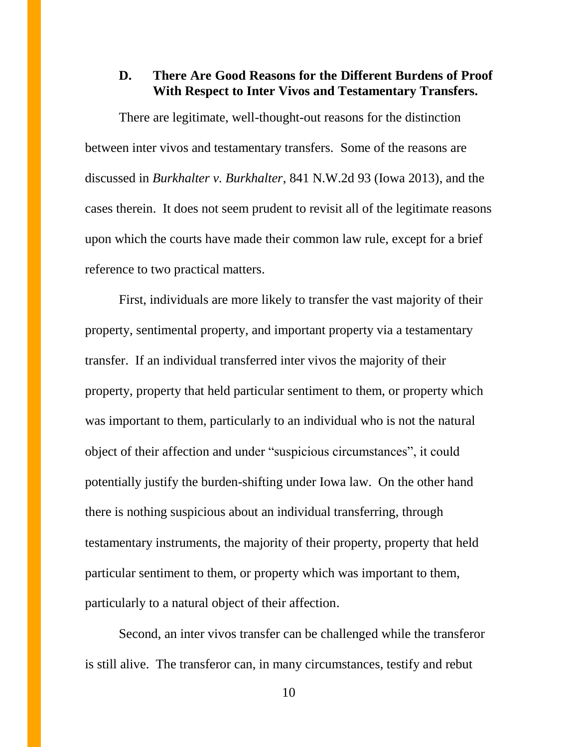# **D. There Are Good Reasons for the Different Burdens of Proof With Respect to Inter Vivos and Testamentary Transfers.**

There are legitimate, well-thought-out reasons for the distinction between inter vivos and testamentary transfers. Some of the reasons are discussed in *Burkhalter v. Burkhalter*, 841 N.W.2d 93 (Iowa 2013), and the cases therein. It does not seem prudent to revisit all of the legitimate reasons upon which the courts have made their common law rule, except for a brief reference to two practical matters.

First, individuals are more likely to transfer the vast majority of their property, sentimental property, and important property via a testamentary transfer. If an individual transferred inter vivos the majority of their property, property that held particular sentiment to them, or property which was important to them, particularly to an individual who is not the natural object of their affection and under "suspicious circumstances", it could potentially justify the burden-shifting under Iowa law. On the other hand there is nothing suspicious about an individual transferring, through testamentary instruments, the majority of their property, property that held particular sentiment to them, or property which was important to them, particularly to a natural object of their affection.

Second, an inter vivos transfer can be challenged while the transferor is still alive. The transferor can, in many circumstances, testify and rebut

10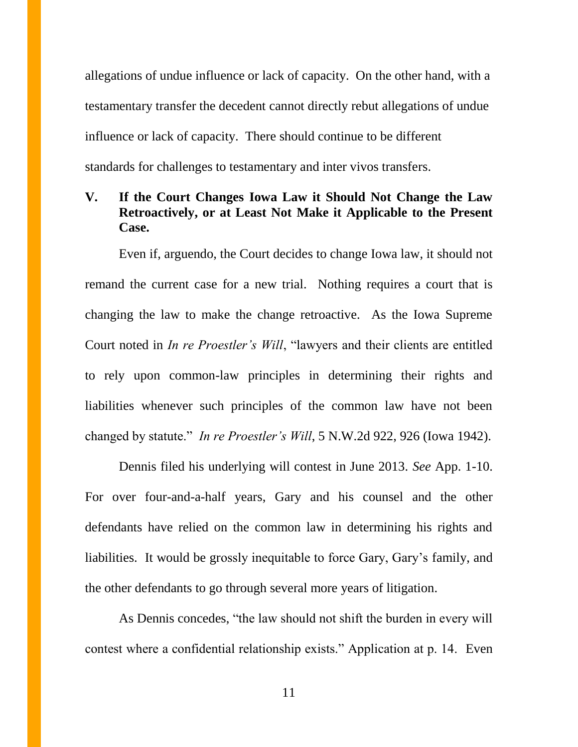allegations of undue influence or lack of capacity. On the other hand, with a testamentary transfer the decedent cannot directly rebut allegations of undue influence or lack of capacity. There should continue to be different standards for challenges to testamentary and inter vivos transfers.

# **V. If the Court Changes Iowa Law it Should Not Change the Law Retroactively, or at Least Not Make it Applicable to the Present Case.**

Even if, arguendo, the Court decides to change Iowa law, it should not remand the current case for a new trial. Nothing requires a court that is changing the law to make the change retroactive. As the Iowa Supreme Court noted in *In re Proestler's Will*, "lawyers and their clients are entitled to rely upon common-law principles in determining their rights and liabilities whenever such principles of the common law have not been changed by statute." *In re Proestler's Will*, 5 N.W.2d 922, 926 (Iowa 1942).

Dennis filed his underlying will contest in June 2013. *See* App. 1-10. For over four-and-a-half years, Gary and his counsel and the other defendants have relied on the common law in determining his rights and liabilities. It would be grossly inequitable to force Gary, Gary's family, and the other defendants to go through several more years of litigation.

As Dennis concedes, "the law should not shift the burden in every will contest where a confidential relationship exists." Application at p. 14. Even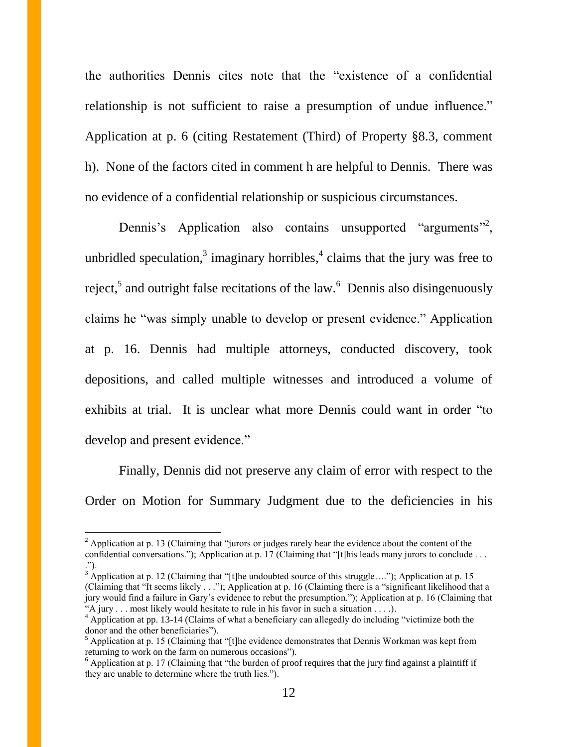the authorities Dennis cites note that the "existence of a confidential relationship is not sufficient to raise a presumption of undue influence." Application at p. 6 (citing Restatement (Third) of Property §8.3, comment h). None of the factors cited in comment h are helpful to Dennis. There was no evidence of a confidential relationship or suspicious circumstances.

Dennis's Application also contains unsupported "arguments"<sup>2</sup>, unbridled speculation,<sup>3</sup> imaginary horribles,<sup>4</sup> claims that the jury was free to reject,<sup>5</sup> and outright false recitations of the law.<sup>6</sup> Dennis also disingenuously claims he "was simply unable to develop or present evidence." Application at p. 16. Dennis had multiple attorneys, conducted discovery, took depositions, and called multiple witnesses and introduced a volume of exhibits at trial. It is unclear what more Dennis could want in order "to develop and present evidence."

Finally, Dennis did not preserve any claim of error with respect to the Order on Motion for Summary Judgment due to the deficiencies in his

 $\overline{a}$ 

 $2$  Application at p. 13 (Claiming that "jurors or judges rarely hear the evidence about the content of the confidential conversations."); Application at p. 17 (Claiming that "[t]his leads many jurors to conclude . . . .").

 $3 \text{ Application at } p. 12 \text{ (Claiming that "[t]he undoubted source of this struggle...."); Application at } p. 15$ (Claiming that "It seems likely . . ."); Application at p. 16 (Claiming there is a "significant likelihood that a jury would find a failure in Gary's evidence to rebut the presumption."); Application at p. 16 (Claiming that "A jury . . . most likely would hesitate to rule in his favor in such a situation . . . .).

<sup>&</sup>lt;sup>4</sup> Application at pp. 13-14 (Claims of what a beneficiary can allegedly do including "victimize both the donor and the other beneficiaries").

<sup>&</sup>lt;sup>5</sup> Application at p. 15 (Claiming that "[t]he evidence demonstrates that Dennis Workman was kept from returning to work on the farm on numerous occasions").

<sup>&</sup>lt;sup>6</sup> Application at p. 17 (Claiming that "the burden of proof requires that the jury find against a plaintiff if they are unable to determine where the truth lies.").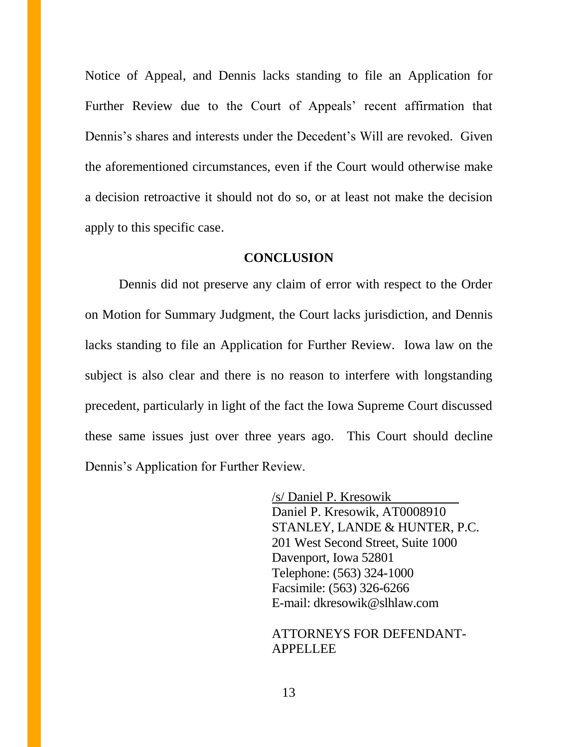Notice of Appeal, and Dennis lacks standing to file an Application for Further Review due to the Court of Appeals' recent affirmation that Dennis's shares and interests under the Decedent's Will are revoked. Given the aforementioned circumstances, even if the Court would otherwise make a decision retroactive it should not do so, or at least not make the decision apply to this specific case.

#### **CONCLUSION**

Dennis did not preserve any claim of error with respect to the Order on Motion for Summary Judgment, the Court lacks jurisdiction, and Dennis lacks standing to file an Application for Further Review. Iowa law on the subject is also clear and there is no reason to interfere with longstanding precedent, particularly in light of the fact the Iowa Supreme Court discussed these same issues just over three years ago. This Court should decline Dennis's Application for Further Review.

> /s/ Daniel P. Kresowik Daniel P. Kresowik, AT0008910 STANLEY, LANDE & HUNTER, P.C. 201 West Second Street, Suite 1000 Davenport, Iowa 52801 Telephone: (563) 324-1000 Facsimile: (563) 326-6266 E-mail: dkresowik@slhlaw.com

### ATTORNEYS FOR DEFENDANT-APPELLEE

13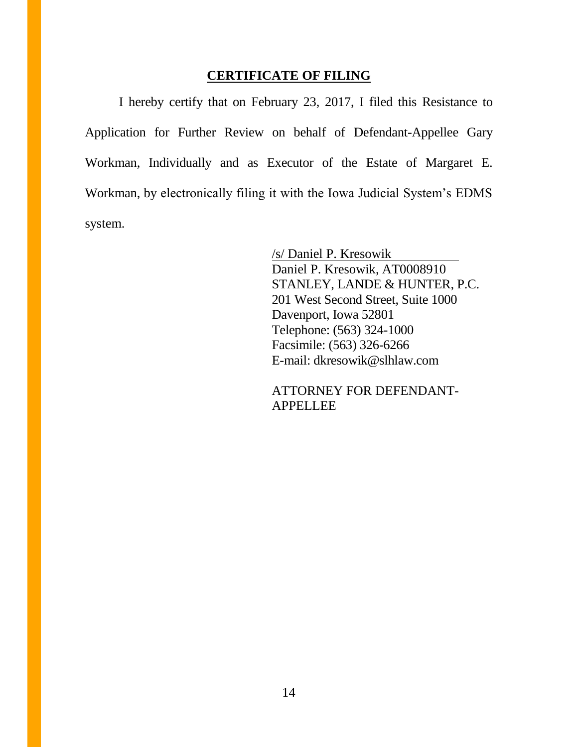# **CERTIFICATE OF FILING**

I hereby certify that on February 23, 2017, I filed this Resistance to Application for Further Review on behalf of Defendant-Appellee Gary Workman, Individually and as Executor of the Estate of Margaret E. Workman, by electronically filing it with the Iowa Judicial System's EDMS system.

> /s/ Daniel P. Kresowik Daniel P. Kresowik, AT0008910 STANLEY, LANDE & HUNTER, P.C. 201 West Second Street, Suite 1000 Davenport, Iowa 52801 Telephone: (563) 324-1000 Facsimile: (563) 326-6266 E-mail: dkresowik@slhlaw.com

ATTORNEY FOR DEFENDANT-**APPELLEE**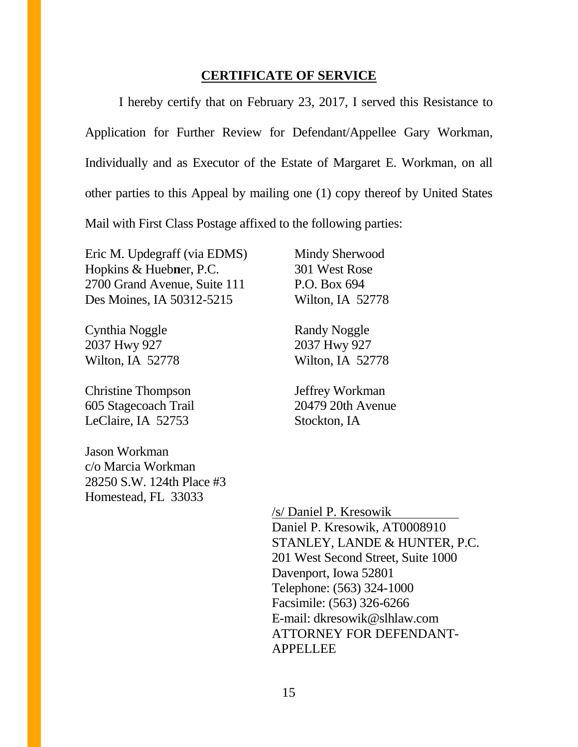#### **CERTIFICATE OF SERVICE**

I hereby certify that on February 23, 2017, I served this Resistance to Application for Further Review for Defendant/Appellee Gary Workman, Individually and as Executor of the Estate of Margaret E. Workman, on all other parties to this Appeal by mailing one (1) copy thereof by United States Mail with First Class Postage affixed to the following parties:

Eric M. Updegraff (via EDMS) Hopkins & Hueb**n**er, P.C. 2700 Grand Avenue, Suite 111 Des Moines, IA 50312-5215

Cynthia Noggle 2037 Hwy 927 Wilton, IA 52778

Christine Thompson 605 Stagecoach Trail LeClaire, IA 52753

Jason Workman c/o Marcia Workman 28250 S.W. 124th Place #3 Homestead, FL 33033

Mindy Sherwood 301 West Rose P.O. Box 694 Wilton, IA 52778

Randy Noggle 2037 Hwy 927 Wilton, IA 52778

Jeffrey Workman 20479 20th Avenue Stockton, IA

/s/ Daniel P. Kresowik Daniel P. Kresowik, AT0008910 STANLEY, LANDE & HUNTER, P.C. 201 West Second Street, Suite 1000 Davenport, Iowa 52801 Telephone: (563) 324-1000 Facsimile: (563) 326-6266 E-mail: dkresowik@slhlaw.com ATTORNEY FOR DEFENDANT-APPELLEE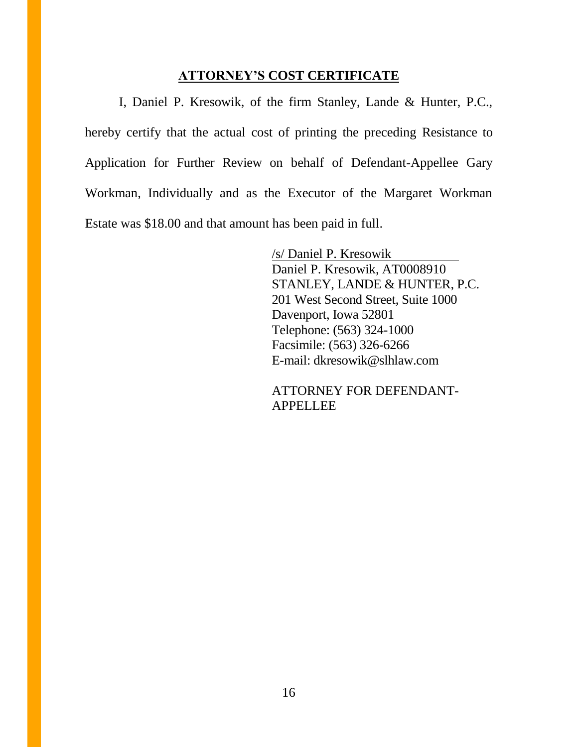### **ATTORNEY'S COST CERTIFICATE**

I, Daniel P. Kresowik, of the firm Stanley, Lande & Hunter, P.C., hereby certify that the actual cost of printing the preceding Resistance to Application for Further Review on behalf of Defendant-Appellee Gary Workman, Individually and as the Executor of the Margaret Workman Estate was \$18.00 and that amount has been paid in full.

> /s/ Daniel P. Kresowik Daniel P. Kresowik, AT0008910 STANLEY, LANDE & HUNTER, P.C. 201 West Second Street, Suite 1000 Davenport, Iowa 52801 Telephone: (563) 324-1000 Facsimile: (563) 326-6266 E-mail: dkresowik@slhlaw.com

ATTORNEY FOR DEFENDANT-**APPELLEE**